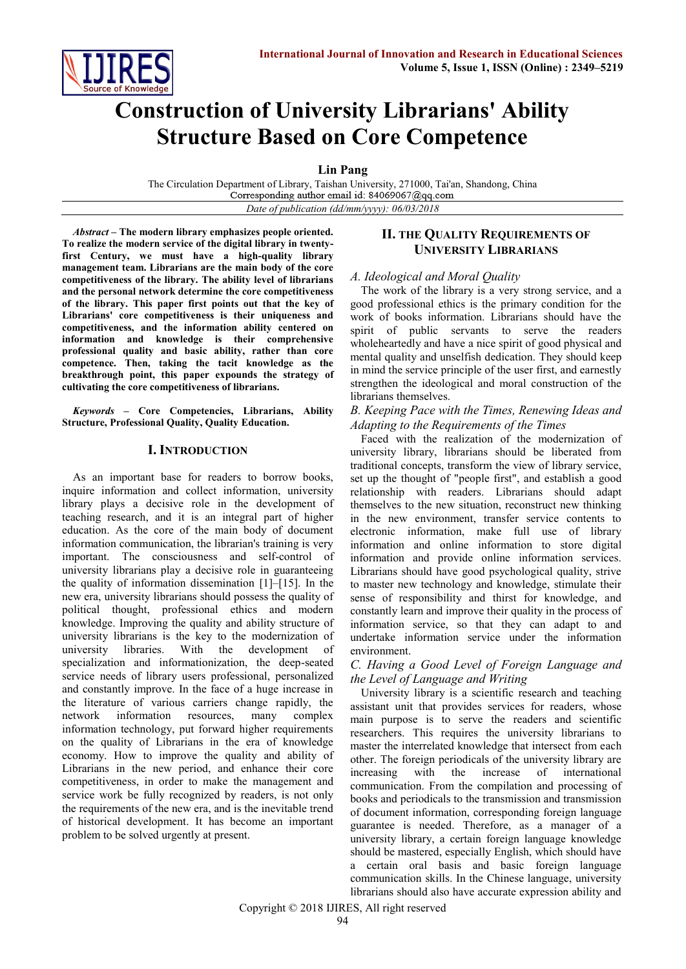

# **Construction of University Librarians' Ability Structure Based on Core Competence**

**Lin Pang**

The Circulation Department of Library, Taishan University, 271000, Tai'an, Shandong, China *Date of publication (dd/mm/yyyy): 06/03/2018*

*Abstract* **– The modern library emphasizes people oriented. To realize the modern service of the digital library in twentyfirst Century, we must have a high-quality library management team. Librarians are the main body of the core competitiveness of the library. The ability level of librarians and the personal network determine the core competitiveness of the library. This paper first points out that the key of Librarians' core competitiveness is their uniqueness and competitiveness, and the information ability centered on information and knowledge is their comprehensive professional quality and basic ability, rather than core competence. Then, taking the tacit knowledge as the breakthrough point, this paper expounds the strategy of cultivating the core competitiveness of librarians.** 

*Keywords* **– Core Competencies, Librarians, Ability Structure, Professional Quality, Quality Education.**

# **I. INTRODUCTION**

As an important base for readers to borrow books, inquire information and collect information, university library plays a decisive role in the development of teaching research, and it is an integral part of higher education. As the core of the main body of document information communication, the librarian's training is very important. The consciousness and self-control of university librarians play a decisive role in guaranteeing the quality of information dissemination [1]–[15]. In the new era, university librarians should possess the quality of political thought, professional ethics and modern knowledge. Improving the quality and ability structure of university librarians is the key to the modernization of university libraries. With the development of specialization and informationization, the deep-seated service needs of library users professional, personalized and constantly improve. In the face of a huge increase in the literature of various carriers change rapidly, the network information resources, many complex information technology, put forward higher requirements on the quality of Librarians in the era of knowledge economy. How to improve the quality and ability of Librarians in the new period, and enhance their core competitiveness, in order to make the management and service work be fully recognized by readers, is not only the requirements of the new era, and is the inevitable trend of historical development. It has become an important problem to be solved urgently at present.

# **II. THE QUALITY REQUIREMENTS OF UNIVERSITY LIBRARIANS**

#### *A. Ideological and Moral Quality*

The work of the library is a very strong service, and a good professional ethics is the primary condition for the work of books information. Librarians should have the spirit of public servants to serve the readers wholeheartedly and have a nice spirit of good physical and mental quality and unselfish dedication. They should keep in mind the service principle of the user first, and earnestly strengthen the ideological and moral construction of the librarians themselves.

#### *B. Keeping Pace with the Times, Renewing Ideas and Adapting to the Requirements of the Times*

Faced with the realization of the modernization of university library, librarians should be liberated from traditional concepts, transform the view of library service, set up the thought of "people first", and establish a good relationship with readers. Librarians should adapt themselves to the new situation, reconstruct new thinking in the new environment, transfer service contents to electronic information, make full use of library information and online information to store digital information and provide online information services. Librarians should have good psychological quality, strive to master new technology and knowledge, stimulate their sense of responsibility and thirst for knowledge, and constantly learn and improve their quality in the process of information service, so that they can adapt to and undertake information service under the information environment.

# *C. Having a Good Level of Foreign Language and the Level of Language and Writing*

University library is a scientific research and teaching assistant unit that provides services for readers, whose main purpose is to serve the readers and scientific researchers. This requires the university librarians to master the interrelated knowledge that intersect from each other. The foreign periodicals of the university library are increasing with the increase of international communication. From the compilation and processing of books and periodicals to the transmission and transmission of document information, corresponding foreign language guarantee is needed. Therefore, as a manager of a university library, a certain foreign language knowledge should be mastered, especially English, which should have a certain oral basis and basic foreign language communication skills. In the Chinese language, university librarians should also have accurate expression ability and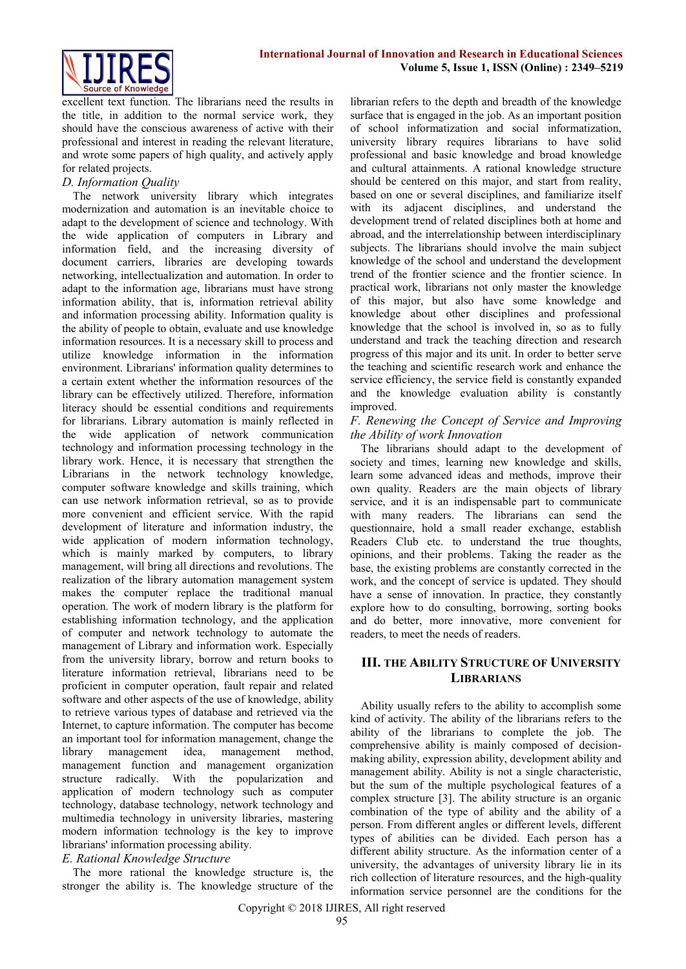

excellent text function. The librarians need the results in the title, in addition to the normal service work, they should have the conscious awareness of active with their professional and interest in reading the relevant literature, and wrote some papers of high quality, and actively apply for related projects.

# *D. Information Quality*

The network university library which integrates modernization and automation is an inevitable choice to adapt to the development of science and technology. With the wide application of computers in Library and information field, and the increasing diversity of document carriers, libraries are developing towards networking, intellectualization and automation. In order to adapt to the information age, librarians must have strong information ability, that is, information retrieval ability and information processing ability. Information quality is the ability of people to obtain, evaluate and use knowledge information resources. It is a necessary skill to process and utilize knowledge information in the information environment. Librarians' information quality determines to a certain extent whether the information resources of the library can be effectively utilized. Therefore, information literacy should be essential conditions and requirements for librarians. Library automation is mainly reflected in the wide application of network communication technology and information processing technology in the library work. Hence, it is necessary that strengthen the Librarians in the network technology knowledge, computer software knowledge and skills training, which can use network information retrieval, so as to provide more convenient and efficient service. With the rapid development of literature and information industry, the wide application of modern information technology, which is mainly marked by computers, to library management, will bring all directions and revolutions. The realization of the library automation management system makes the computer replace the traditional manual operation. The work of modern library is the platform for establishing information technology, and the application of computer and network technology to automate the management of Library and information work. Especially from the university library, borrow and return books to literature information retrieval, librarians need to be proficient in computer operation, fault repair and related software and other aspects of the use of knowledge, ability to retrieve various types of database and retrieved via the Internet, to capture information. The computer has become an important tool for information management, change the library management idea, management method, management function and management organization structure radically. With the popularization and application of modern technology such as computer technology, database technology, network technology and multimedia technology in university libraries, mastering modern information technology is the key to improve librarians' information processing ability.

#### *E. Rational Knowledge Structure*

The more rational the knowledge structure is, the stronger the ability is. The knowledge structure of the librarian refers to the depth and breadth of the knowledge surface that is engaged in the job. As an important position of school informatization and social informatization, university library requires librarians to have solid professional and basic knowledge and broad knowledge and cultural attainments. A rational knowledge structure should be centered on this major, and start from reality, based on one or several disciplines, and familiarize itself with its adjacent disciplines, and understand the development trend of related disciplines both at home and abroad, and the interrelationship between interdisciplinary subjects. The librarians should involve the main subject knowledge of the school and understand the development trend of the frontier science and the frontier science. In practical work, librarians not only master the knowledge of this major, but also have some knowledge and knowledge about other disciplines and professional knowledge that the school is involved in, so as to fully understand and track the teaching direction and research progress of this major and its unit. In order to better serve the teaching and scientific research work and enhance the service efficiency, the service field is constantly expanded and the knowledge evaluation ability is constantly improved.

#### *F. Renewing the Concept of Service and Improving the Ability of work Innovation*

The librarians should adapt to the development of society and times, learning new knowledge and skills, learn some advanced ideas and methods, improve their own quality. Readers are the main objects of library service, and it is an indispensable part to communicate with many readers. The librarians can send the questionnaire, hold a small reader exchange, establish Readers Club etc. to understand the true thoughts, opinions, and their problems. Taking the reader as the base, the existing problems are constantly corrected in the work, and the concept of service is updated. They should have a sense of innovation. In practice, they constantly explore how to do consulting, borrowing, sorting books and do better, more innovative, more convenient for readers, to meet the needs of readers.

# **III. THE ABILITY STRUCTURE OF UNIVERSITY LIBRARIANS**

Ability usually refers to the ability to accomplish some kind of activity. The ability of the librarians refers to the ability of the librarians to complete the job. The comprehensive ability is mainly composed of decisionmaking ability, expression ability, development ability and management ability. Ability is not a single characteristic, but the sum of the multiple psychological features of a complex structure [3]. The ability structure is an organic combination of the type of ability and the ability of a person. From different angles or different levels, different types of abilities can be divided. Each person has a different ability structure. As the information center of a university, the advantages of university library lie in its rich collection of literature resources, and the high-quality information service personnel are the conditions for the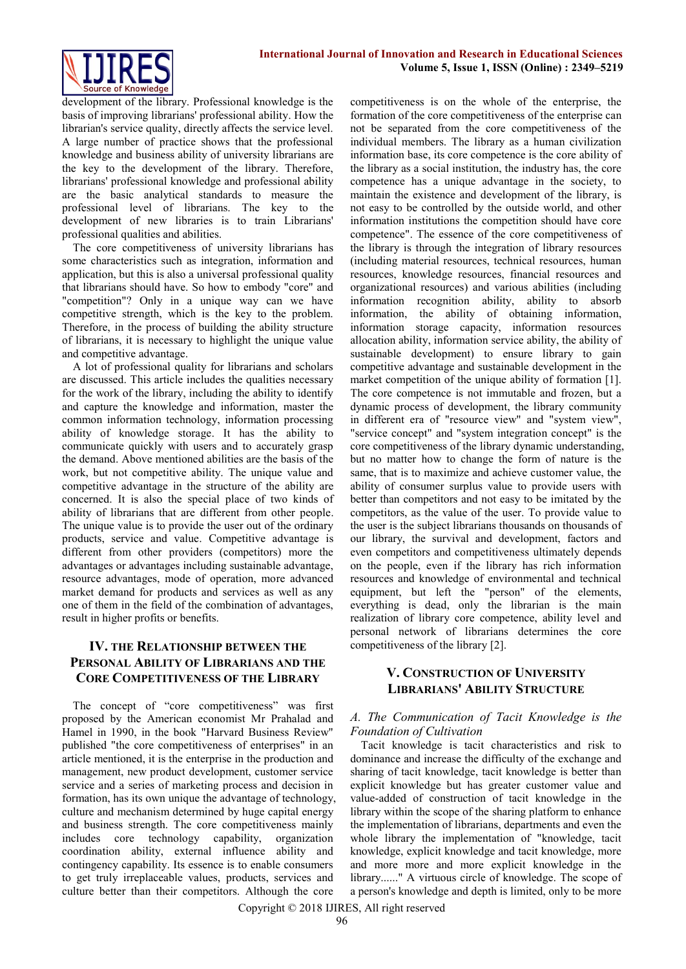

development of the library. Professional knowledge is the basis of improving librarians' professional ability. How the librarian's service quality, directly affects the service level. A large number of practice shows that the professional knowledge and business ability of university librarians are the key to the development of the library. Therefore, librarians' professional knowledge and professional ability are the basic analytical standards to measure the professional level of librarians. The key to the development of new libraries is to train Librarians' professional qualities and abilities.

The core competitiveness of university librarians has some characteristics such as integration, information and application, but this is also a universal professional quality that librarians should have. So how to embody "core" and "competition"? Only in a unique way can we have competitive strength, which is the key to the problem. Therefore, in the process of building the ability structure of librarians, it is necessary to highlight the unique value and competitive advantage.

A lot of professional quality for librarians and scholars are discussed. This article includes the qualities necessary for the work of the library, including the ability to identify and capture the knowledge and information, master the common information technology, information processing ability of knowledge storage. It has the ability to communicate quickly with users and to accurately grasp the demand. Above mentioned abilities are the basis of the work, but not competitive ability. The unique value and competitive advantage in the structure of the ability are concerned. It is also the special place of two kinds of ability of librarians that are different from other people. The unique value is to provide the user out of the ordinary products, service and value. Competitive advantage is different from other providers (competitors) more the advantages or advantages including sustainable advantage, resource advantages, mode of operation, more advanced market demand for products and services as well as any one of them in the field of the combination of advantages, result in higher profits or benefits.

# **IV. THE RELATIONSHIP BETWEEN THE PERSONAL ABILITY OF LIBRARIANS AND THE CORE COMPETITIVENESS OF THE LIBRARY**

The concept of "core competitiveness" was first proposed by the American economist Mr Prahalad and Hamel in 1990, in the book "Harvard Business Review" published "the core competitiveness of enterprises" in an article mentioned, it is the enterprise in the production and management, new product development, customer service service and a series of marketing process and decision in formation, has its own unique the advantage of technology, culture and mechanism determined by huge capital energy and business strength. The core competitiveness mainly includes core technology capability, organization coordination ability, external influence ability and contingency capability. Its essence is to enable consumers to get truly irreplaceable values, products, services and culture better than their competitors. Although the core

competitiveness is on the whole of the enterprise, the formation of the core competitiveness of the enterprise can not be separated from the core competitiveness of the individual members. The library as a human civilization information base, its core competence is the core ability of the library as a social institution, the industry has, the core competence has a unique advantage in the society, to maintain the existence and development of the library, is not easy to be controlled by the outside world, and other information institutions the competition should have core competence". The essence of the core competitiveness of the library is through the integration of library resources (including material resources, technical resources, human resources, knowledge resources, financial resources and organizational resources) and various abilities (including information recognition ability, ability to absorb information, the ability of obtaining information, information storage capacity, information resources allocation ability, information service ability, the ability of sustainable development) to ensure library to gain competitive advantage and sustainable development in the market competition of the unique ability of formation [1]. The core competence is not immutable and frozen, but a dynamic process of development, the library community in different era of "resource view" and "system view", "service concept" and "system integration concept" is the core competitiveness of the library dynamic understanding, but no matter how to change the form of nature is the same, that is to maximize and achieve customer value, the ability of consumer surplus value to provide users with better than competitors and not easy to be imitated by the competitors, as the value of the user. To provide value to the user is the subject librarians thousands on thousands of our library, the survival and development, factors and even competitors and competitiveness ultimately depends on the people, even if the library has rich information resources and knowledge of environmental and technical equipment, but left the "person" of the elements, everything is dead, only the librarian is the main realization of library core competence, ability level and personal network of librarians determines the core competitiveness of the library [2].

# **V. CONSTRUCTION OF UNIVERSITY LIBRARIANS' ABILITY STRUCTURE**

# *A. The Communication of Tacit Knowledge is the Foundation of Cultivation*

Tacit knowledge is tacit characteristics and risk to dominance and increase the difficulty of the exchange and sharing of tacit knowledge, tacit knowledge is better than explicit knowledge but has greater customer value and value-added of construction of tacit knowledge in the library within the scope of the sharing platform to enhance the implementation of librarians, departments and even the whole library the implementation of "knowledge, tacit knowledge, explicit knowledge and tacit knowledge, more and more more and more explicit knowledge in the library......" A virtuous circle of knowledge. The scope of a person's knowledge and depth is limited, only to be more

Copyright © 2018 IJIRES, All right reserved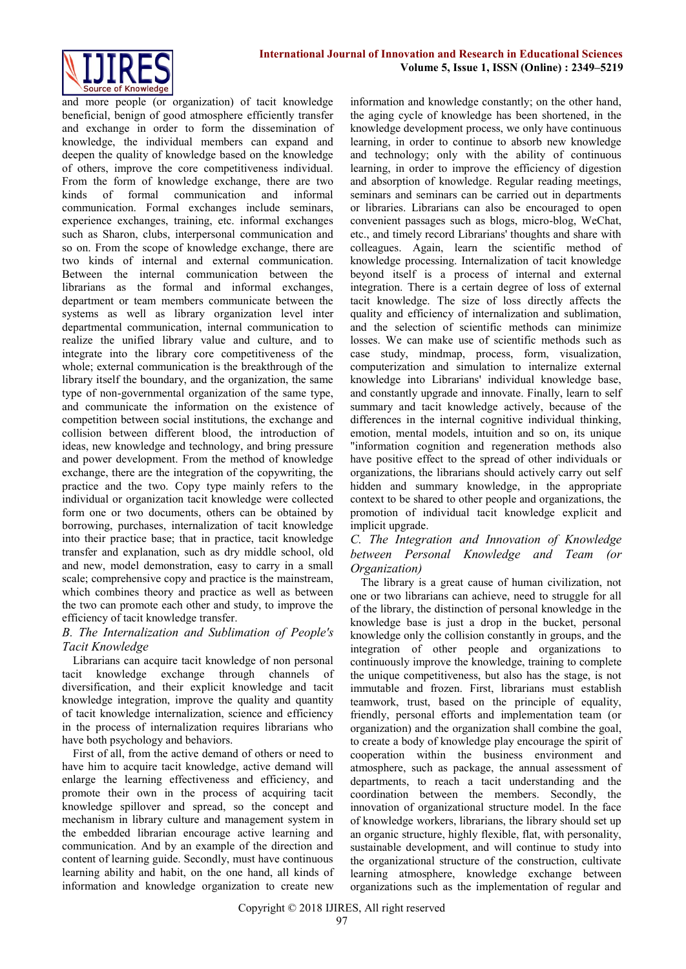

and more people (or organization) of tacit knowledge beneficial, benign of good atmosphere efficiently transfer and exchange in order to form the dissemination of knowledge, the individual members can expand and deepen the quality of knowledge based on the knowledge of others, improve the core competitiveness individual. From the form of knowledge exchange, there are two kinds of formal communication and informal communication. Formal exchanges include seminars, experience exchanges, training, etc. informal exchanges such as Sharon, clubs, interpersonal communication and so on. From the scope of knowledge exchange, there are two kinds of internal and external communication. Between the internal communication between the librarians as the formal and informal exchanges, department or team members communicate between the systems as well as library organization level inter departmental communication, internal communication to realize the unified library value and culture, and to integrate into the library core competitiveness of the whole; external communication is the breakthrough of the library itself the boundary, and the organization, the same type of non-governmental organization of the same type, and communicate the information on the existence of competition between social institutions, the exchange and collision between different blood, the introduction of ideas, new knowledge and technology, and bring pressure and power development. From the method of knowledge exchange, there are the integration of the copywriting, the practice and the two. Copy type mainly refers to the individual or organization tacit knowledge were collected form one or two documents, others can be obtained by borrowing, purchases, internalization of tacit knowledge into their practice base; that in practice, tacit knowledge transfer and explanation, such as dry middle school, old and new, model demonstration, easy to carry in a small scale; comprehensive copy and practice is the mainstream, which combines theory and practice as well as between the two can promote each other and study, to improve the efficiency of tacit knowledge transfer.

# *B. The Internalization and Sublimation of People's Tacit Knowledge*

Librarians can acquire tacit knowledge of non personal tacit knowledge exchange through channels of diversification, and their explicit knowledge and tacit knowledge integration, improve the quality and quantity of tacit knowledge internalization, science and efficiency in the process of internalization requires librarians who have both psychology and behaviors.

First of all, from the active demand of others or need to have him to acquire tacit knowledge, active demand will enlarge the learning effectiveness and efficiency, and promote their own in the process of acquiring tacit knowledge spillover and spread, so the concept and mechanism in library culture and management system in the embedded librarian encourage active learning and communication. And by an example of the direction and content of learning guide. Secondly, must have continuous learning ability and habit, on the one hand, all kinds of information and knowledge organization to create new information and knowledge constantly; on the other hand, the aging cycle of knowledge has been shortened, in the knowledge development process, we only have continuous learning, in order to continue to absorb new knowledge and technology; only with the ability of continuous learning, in order to improve the efficiency of digestion and absorption of knowledge. Regular reading meetings, seminars and seminars can be carried out in departments or libraries. Librarians can also be encouraged to open convenient passages such as blogs, micro-blog, WeChat, etc., and timely record Librarians' thoughts and share with colleagues. Again, learn the scientific method of knowledge processing. Internalization of tacit knowledge beyond itself is a process of internal and external integration. There is a certain degree of loss of external tacit knowledge. The size of loss directly affects the quality and efficiency of internalization and sublimation, and the selection of scientific methods can minimize losses. We can make use of scientific methods such as case study, mindmap, process, form, visualization, computerization and simulation to internalize external knowledge into Librarians' individual knowledge base, and constantly upgrade and innovate. Finally, learn to self summary and tacit knowledge actively, because of the differences in the internal cognitive individual thinking, emotion, mental models, intuition and so on, its unique "information cognition and regeneration methods also have positive effect to the spread of other individuals or organizations, the librarians should actively carry out self hidden and summary knowledge, in the appropriate context to be shared to other people and organizations, the promotion of individual tacit knowledge explicit and implicit upgrade.

# *C. The Integration and Innovation of Knowledge between Personal Knowledge and Team (or Organization)*

The library is a great cause of human civilization, not one or two librarians can achieve, need to struggle for all of the library, the distinction of personal knowledge in the knowledge base is just a drop in the bucket, personal knowledge only the collision constantly in groups, and the integration of other people and organizations to continuously improve the knowledge, training to complete the unique competitiveness, but also has the stage, is not immutable and frozen. First, librarians must establish teamwork, trust, based on the principle of equality, friendly, personal efforts and implementation team (or organization) and the organization shall combine the goal, to create a body of knowledge play encourage the spirit of cooperation within the business environment and atmosphere, such as package, the annual assessment of departments, to reach a tacit understanding and the coordination between the members. Secondly, the innovation of organizational structure model. In the face of knowledge workers, librarians, the library should set up an organic structure, highly flexible, flat, with personality, sustainable development, and will continue to study into the organizational structure of the construction, cultivate learning atmosphere, knowledge exchange between organizations such as the implementation of regular and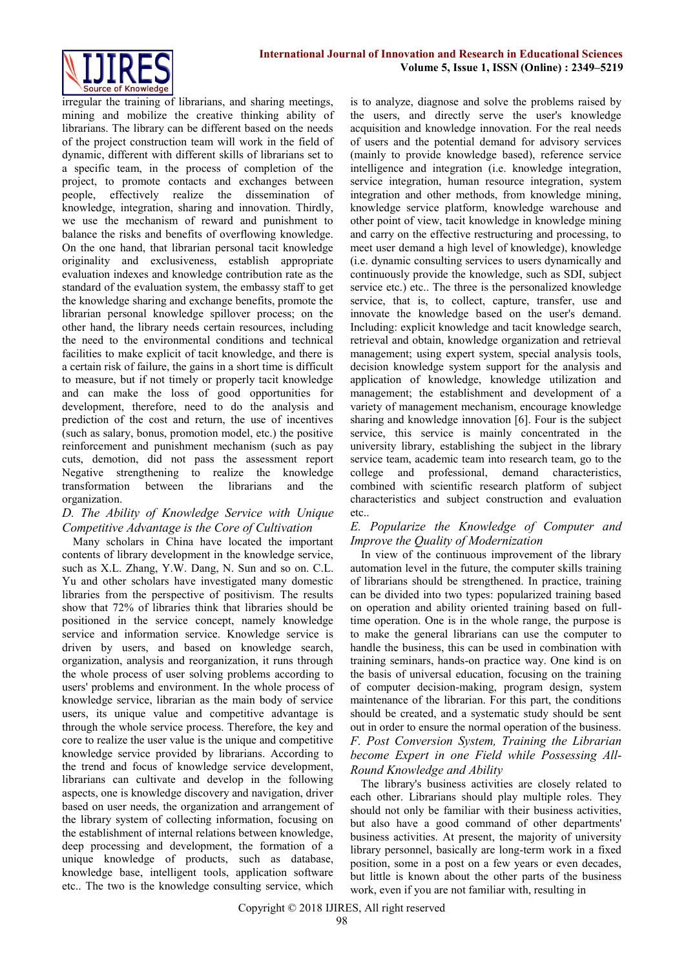

irregular the training of librarians, and sharing meetings, mining and mobilize the creative thinking ability of librarians. The library can be different based on the needs of the project construction team will work in the field of dynamic, different with different skills of librarians set to a specific team, in the process of completion of the project, to promote contacts and exchanges between people, effectively realize the dissemination of knowledge, integration, sharing and innovation. Thirdly, we use the mechanism of reward and punishment to balance the risks and benefits of overflowing knowledge. On the one hand, that librarian personal tacit knowledge originality and exclusiveness, establish appropriate evaluation indexes and knowledge contribution rate as the standard of the evaluation system, the embassy staff to get the knowledge sharing and exchange benefits, promote the librarian personal knowledge spillover process; on the other hand, the library needs certain resources, including the need to the environmental conditions and technical facilities to make explicit of tacit knowledge, and there is a certain risk of failure, the gains in a short time is difficult to measure, but if not timely or properly tacit knowledge and can make the loss of good opportunities for development, therefore, need to do the analysis and prediction of the cost and return, the use of incentives (such as salary, bonus, promotion model, etc.) the positive reinforcement and punishment mechanism (such as pay cuts, demotion, did not pass the assessment report Negative strengthening to realize the knowledge transformation between the librarians and the organization.

#### *D. The Ability of Knowledge Service with Unique Competitive Advantage is the Core of Cultivation*

Many scholars in China have located the important contents of library development in the knowledge service, such as X.L. Zhang, Y.W. Dang, N. Sun and so on. C.L. Yu and other scholars have investigated many domestic libraries from the perspective of positivism. The results show that 72% of libraries think that libraries should be positioned in the service concept, namely knowledge service and information service. Knowledge service is driven by users, and based on knowledge search, organization, analysis and reorganization, it runs through the whole process of user solving problems according to users' problems and environment. In the whole process of knowledge service, librarian as the main body of service users, its unique value and competitive advantage is through the whole service process. Therefore, the key and core to realize the user value is the unique and competitive knowledge service provided by librarians. According to the trend and focus of knowledge service development, librarians can cultivate and develop in the following aspects, one is knowledge discovery and navigation, driver based on user needs, the organization and arrangement of the library system of collecting information, focusing on the establishment of internal relations between knowledge, deep processing and development, the formation of a unique knowledge of products, such as database, knowledge base, intelligent tools, application software etc.. The two is the knowledge consulting service, which

is to analyze, diagnose and solve the problems raised by the users, and directly serve the user's knowledge acquisition and knowledge innovation. For the real needs of users and the potential demand for advisory services (mainly to provide knowledge based), reference service intelligence and integration (i.e. knowledge integration, service integration, human resource integration, system integration and other methods, from knowledge mining, knowledge service platform, knowledge warehouse and other point of view, tacit knowledge in knowledge mining and carry on the effective restructuring and processing, to meet user demand a high level of knowledge), knowledge (i.e. dynamic consulting services to users dynamically and continuously provide the knowledge, such as SDI, subject service etc.) etc.. The three is the personalized knowledge service, that is, to collect, capture, transfer, use and innovate the knowledge based on the user's demand. Including: explicit knowledge and tacit knowledge search, retrieval and obtain, knowledge organization and retrieval management; using expert system, special analysis tools, decision knowledge system support for the analysis and application of knowledge, knowledge utilization and management; the establishment and development of a variety of management mechanism, encourage knowledge sharing and knowledge innovation [6]. Four is the subject service, this service is mainly concentrated in the university library, establishing the subject in the library service team, academic team into research team, go to the college and professional, demand characteristics. college and professional, demand characteristics, combined with scientific research platform of subject characteristics and subject construction and evaluation etc..

# *E. Popularize the Knowledge of Computer and Improve the Quality of Modernization*

In view of the continuous improvement of the library automation level in the future, the computer skills training of librarians should be strengthened. In practice, training can be divided into two types: popularized training based on operation and ability oriented training based on fulltime operation. One is in the whole range, the purpose is to make the general librarians can use the computer to handle the business, this can be used in combination with training seminars, hands-on practice way. One kind is on the basis of universal education, focusing on the training of computer decision-making, program design, system maintenance of the librarian. For this part, the conditions should be created, and a systematic study should be sent out in order to ensure the normal operation of the business. *F. Post Conversion System, Training the Librarian become Expert in one Field while Possessing All-Round Knowledge and Ability*

The library's business activities are closely related to each other. Librarians should play multiple roles. They should not only be familiar with their business activities, but also have a good command of other departments' business activities. At present, the majority of university library personnel, basically are long-term work in a fixed position, some in a post on a few years or even decades, but little is known about the other parts of the business work, even if you are not familiar with, resulting in